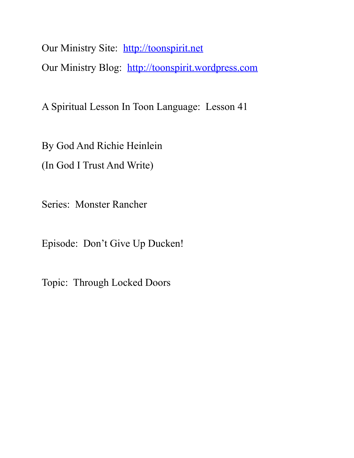Our Ministry Site: [http://toonspirit.net](http://toonspirit.net/) Our Ministry Blog: [http://toonspirit.wordpress.com](http://toonspirit.wordpress.com/)

A Spiritual Lesson In Toon Language: Lesson 41

By God And Richie Heinlein

(In God I Trust And Write)

Series: Monster Rancher

Episode: Don't Give Up Ducken!

Topic: Through Locked Doors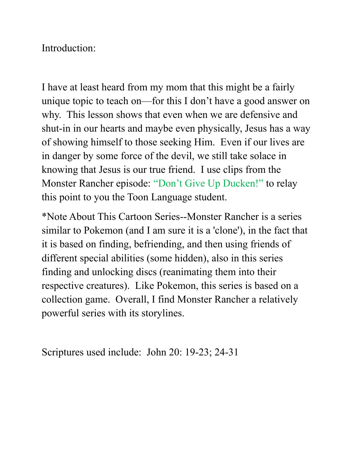Introduction:

I have at least heard from my mom that this might be a fairly unique topic to teach on—for this I don't have a good answer on why. This lesson shows that even when we are defensive and shut-in in our hearts and maybe even physically, Jesus has a way of showing himself to those seeking Him. Even if our lives are in danger by some force of the devil, we still take solace in knowing that Jesus is our true friend. I use clips from the Monster Rancher episode: "Don't Give Up Ducken!" to relay this point to you the Toon Language student.

\*Note About This Cartoon Series--Monster Rancher is a series similar to Pokemon (and I am sure it is a 'clone'), in the fact that it is based on finding, befriending, and then using friends of different special abilities (some hidden), also in this series finding and unlocking discs (reanimating them into their respective creatures). Like Pokemon, this series is based on a collection game. Overall, I find Monster Rancher a relatively powerful series with its storylines.

Scriptures used include: John 20: 19-23; 24-31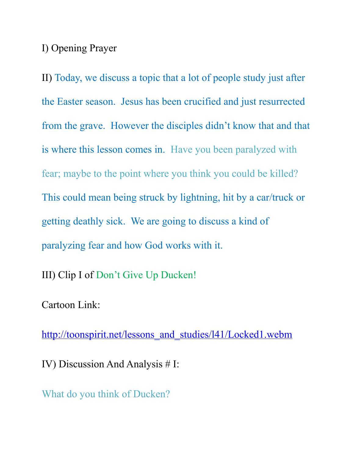## I) Opening Prayer

II) Today, we discuss a topic that a lot of people study just after the Easter season. Jesus has been crucified and just resurrected from the grave. However the disciples didn't know that and that is where this lesson comes in. Have you been paralyzed with fear; maybe to the point where you think you could be killed? This could mean being struck by lightning, hit by a car/truck or getting deathly sick. We are going to discuss a kind of paralyzing fear and how God works with it.

III) Clip I of Don't Give Up Ducken!

Cartoon Link:

[http://toonspirit.net/lessons\\_and\\_studies/l41/Locked1.webm](http://toonspirit.net/lessons_and_studies/l41/Locked1.webm)

IV) Discussion And Analysis # I:

What do you think of Ducken?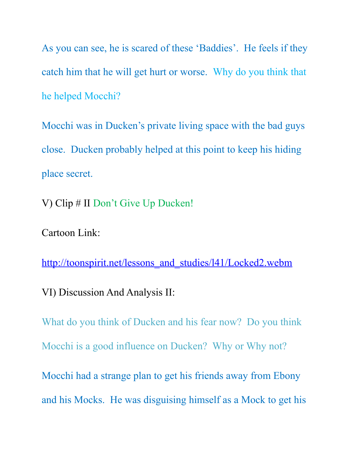As you can see, he is scared of these 'Baddies'. He feels if they catch him that he will get hurt or worse. Why do you think that he helped Mocchi?

Mocchi was in Ducken's private living space with the bad guys close. Ducken probably helped at this point to keep his hiding place secret.

V) Clip # II Don't Give Up Ducken!

Cartoon Link:

[http://toonspirit.net/lessons\\_and\\_studies/l41/Locked2.webm](http://toonspirit.net/lessons_and_studies/l41/Locked2.webm)

VI) Discussion And Analysis II:

What do you think of Ducken and his fear now? Do you think Mocchi is a good influence on Ducken? Why or Why not? Mocchi had a strange plan to get his friends away from Ebony

and his Mocks. He was disguising himself as a Mock to get his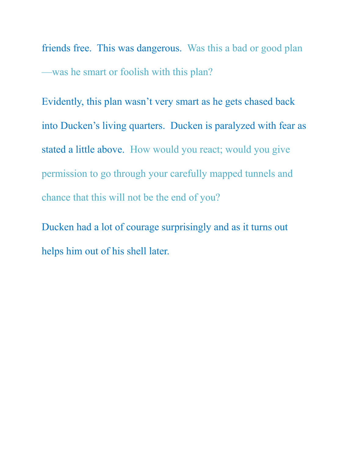friends free. This was dangerous. Was this a bad or good plan —was he smart or foolish with this plan?

Evidently, this plan wasn't very smart as he gets chased back into Ducken's living quarters. Ducken is paralyzed with fear as stated a little above. How would you react; would you give permission to go through your carefully mapped tunnels and chance that this will not be the end of you?

Ducken had a lot of courage surprisingly and as it turns out helps him out of his shell later.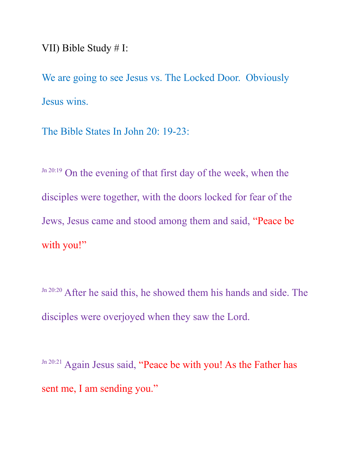VII) Bible Study # I:

We are going to see Jesus vs. The Locked Door. Obviously Jesus wins.

The Bible States In John 20: 19-23:

Jn 20:19 On the evening of that first day of the week, when the disciples were together, with the doors locked for fear of the Jews, Jesus came and stood among them and said, "Peace be with you!"

Jn 20:20 After he said this, he showed them his hands and side. The disciples were overjoyed when they saw the Lord.

Jn 20:21 Again Jesus said, "Peace be with you! As the Father has sent me, I am sending you."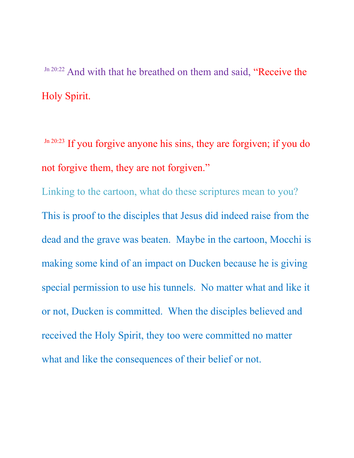Jn 20:22 And with that he breathed on them and said, "Receive the Holy Spirit.

 $Jn 20:23$  If you forgive anyone his sins, they are forgiven; if you do not forgive them, they are not forgiven."

Linking to the cartoon, what do these scriptures mean to you? This is proof to the disciples that Jesus did indeed raise from the dead and the grave was beaten. Maybe in the cartoon, Mocchi is making some kind of an impact on Ducken because he is giving special permission to use his tunnels. No matter what and like it or not, Ducken is committed. When the disciples believed and received the Holy Spirit, they too were committed no matter what and like the consequences of their belief or not.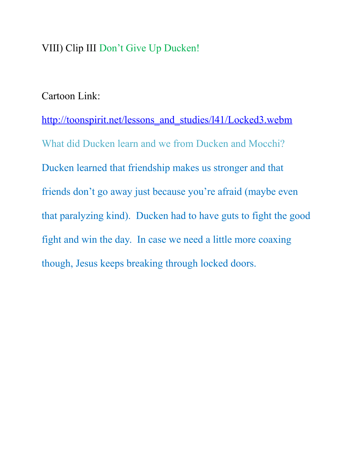## VIII) Clip III Don't Give Up Ducken!

## Cartoon Link:

[http://toonspirit.net/lessons\\_and\\_studies/l41/Locked3.webm](http://toonspirit.net/lessons_and_studies/l41/Locked3.webm) What did Ducken learn and we from Ducken and Mocchi? Ducken learned that friendship makes us stronger and that friends don't go away just because you're afraid (maybe even that paralyzing kind). Ducken had to have guts to fight the good fight and win the day. In case we need a little more coaxing though, Jesus keeps breaking through locked doors.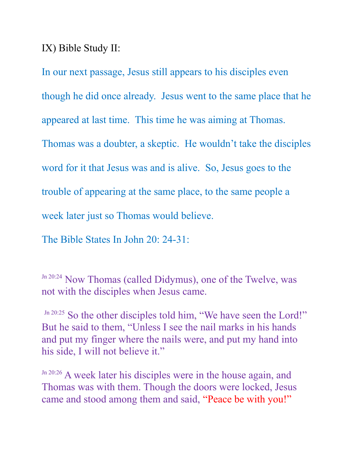IX) Bible Study II:

In our next passage, Jesus still appears to his disciples even though he did once already. Jesus went to the same place that he appeared at last time. This time he was aiming at Thomas. Thomas was a doubter, a skeptic. He wouldn't take the disciples word for it that Jesus was and is alive. So, Jesus goes to the trouble of appearing at the same place, to the same people a week later just so Thomas would believe.

The Bible States In John 20: 24-31:

Jn 20:24 Now Thomas (called Didymus), one of the Twelve, was not with the disciples when Jesus came.

Jn 20:25 So the other disciples told him, "We have seen the Lord!" But he said to them, "Unless I see the nail marks in his hands and put my finger where the nails were, and put my hand into his side, I will not believe it."

Jn 20:26 A week later his disciples were in the house again, and Thomas was with them. Though the doors were locked, Jesus came and stood among them and said, "Peace be with you!"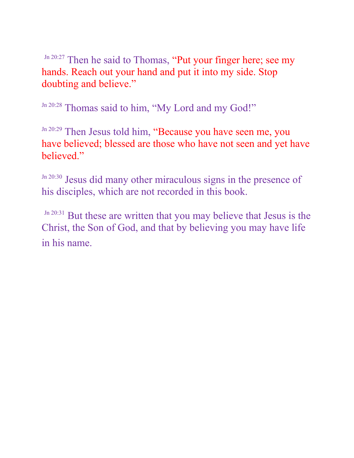Jn 20:27 Then he said to Thomas, "Put your finger here; see my hands. Reach out your hand and put it into my side. Stop doubting and believe."

Jn 20:28 Thomas said to him, "My Lord and my God!"

Jn 20:29 Then Jesus told him, "Because you have seen me, you have believed; blessed are those who have not seen and yet have believed."

Jn 20:30 Jesus did many other miraculous signs in the presence of his disciples, which are not recorded in this book.

Jn 20:31 But these are written that you may believe that Jesus is the Christ, the Son of God, and that by believing you may have life in his name.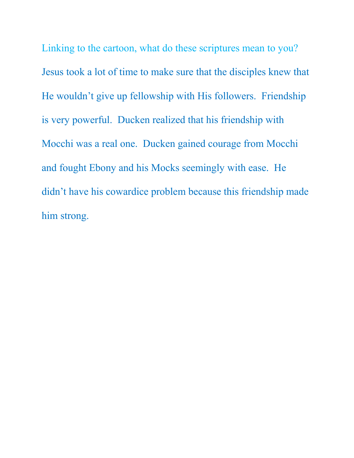Linking to the cartoon, what do these scriptures mean to you? Jesus took a lot of time to make sure that the disciples knew that He wouldn't give up fellowship with His followers. Friendship is very powerful. Ducken realized that his friendship with Mocchi was a real one. Ducken gained courage from Mocchi and fought Ebony and his Mocks seemingly with ease. He didn't have his cowardice problem because this friendship made him strong.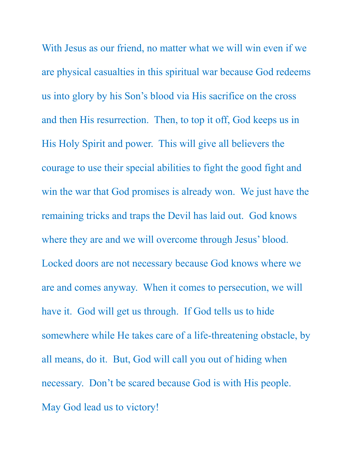With Jesus as our friend, no matter what we will win even if we are physical casualties in this spiritual war because God redeems us into glory by his Son's blood via His sacrifice on the cross and then His resurrection. Then, to top it off, God keeps us in His Holy Spirit and power. This will give all believers the courage to use their special abilities to fight the good fight and win the war that God promises is already won. We just have the remaining tricks and traps the Devil has laid out. God knows where they are and we will overcome through Jesus' blood. Locked doors are not necessary because God knows where we are and comes anyway. When it comes to persecution, we will have it. God will get us through. If God tells us to hide somewhere while He takes care of a life-threatening obstacle, by all means, do it. But, God will call you out of hiding when necessary. Don't be scared because God is with His people. May God lead us to victory!